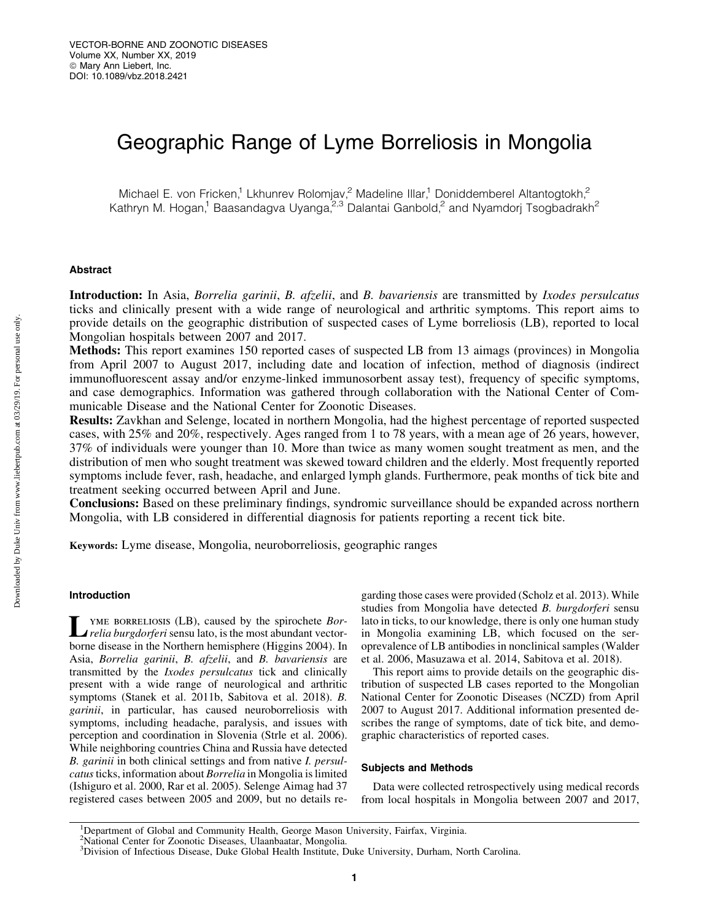# Geographic Range of Lyme Borreliosis in Mongolia

Michael E. von Fricken,<sup>1</sup> Lkhunrev Rolomjav,<sup>2</sup> Madeline Illar,<sup>1</sup> Doniddemberel Altantogtokh,<sup>2</sup> Kathryn M. Hogan,<sup>1</sup> Baasandagva Uyanga,<sup>2,3</sup> Dalantai Ganbold,<sup>2</sup> and Nyamdorj Tsogbadrakh<sup>2</sup>

## Abstract

Introduction: In Asia, *Borrelia garinii*, *B. afzelii*, and *B. bavariensis* are transmitted by *Ixodes persulcatus* ticks and clinically present with a wide range of neurological and arthritic symptoms. This report aims to provide details on the geographic distribution of suspected cases of Lyme borreliosis (LB), reported to local Mongolian hospitals between 2007 and 2017.

Methods: This report examines 150 reported cases of suspected LB from 13 aimags (provinces) in Mongolia from April 2007 to August 2017, including date and location of infection, method of diagnosis (indirect immunofluorescent assay and/or enzyme-linked immunosorbent assay test), frequency of specific symptoms, and case demographics. Information was gathered through collaboration with the National Center of Communicable Disease and the National Center for Zoonotic Diseases.

Results: Zavkhan and Selenge, located in northern Mongolia, had the highest percentage of reported suspected cases, with 25% and 20%, respectively. Ages ranged from 1 to 78 years, with a mean age of 26 years, however, 37% of individuals were younger than 10. More than twice as many women sought treatment as men, and the distribution of men who sought treatment was skewed toward children and the elderly. Most frequently reported symptoms include fever, rash, headache, and enlarged lymph glands. Furthermore, peak months of tick bite and treatment seeking occurred between April and June.

Conclusions: Based on these preliminary findings, syndromic surveillance should be expanded across northern Mongolia, with LB considered in differential diagnosis for patients reporting a recent tick bite.

Keywords: Lyme disease, Mongolia, neuroborreliosis, geographic ranges

# Introduction

Lyme borreliosis (LB), caused by the spirochete *Bor-relia burgdorferi* sensu lato, is the most abundant vectorborne disease in the Northern hemisphere (Higgins 2004). In Asia, *Borrelia garinii*, *B. afzelii*, and *B. bavariensis* are transmitted by the *Ixodes persulcatus* tick and clinically present with a wide range of neurological and arthritic symptoms (Stanek et al. 2011b, Sabitova et al. 2018). *B. garinii*, in particular, has caused neuroborreliosis with symptoms, including headache, paralysis, and issues with perception and coordination in Slovenia (Strle et al. 2006). While neighboring countries China and Russia have detected *B. garinii* in both clinical settings and from native *I. persulcatus*ticks, information about *Borrelia* in Mongolia is limited (Ishiguro et al. 2000, Rar et al. 2005). Selenge Aimag had 37 registered cases between 2005 and 2009, but no details regarding those cases were provided (Scholz et al. 2013). While studies from Mongolia have detected *B. burgdorferi* sensu lato in ticks, to our knowledge, there is only one human study in Mongolia examining LB, which focused on the seroprevalence of LB antibodies in nonclinical samples (Walder et al. 2006, Masuzawa et al. 2014, Sabitova et al. 2018).

This report aims to provide details on the geographic distribution of suspected LB cases reported to the Mongolian National Center for Zoonotic Diseases (NCZD) from April 2007 to August 2017. Additional information presented describes the range of symptoms, date of tick bite, and demographic characteristics of reported cases.

## Subjects and Methods

Data were collected retrospectively using medical records from local hospitals in Mongolia between 2007 and 2017,

<sup>&</sup>lt;sup>1</sup>Department of Global and Community Health, George Mason University, Fairfax, Virginia.

<sup>2</sup> National Center for Zoonotic Diseases, Ulaanbaatar, Mongolia. 3 Division of Infectious Disease, Duke Global Health Institute, Duke University, Durham, North Carolina.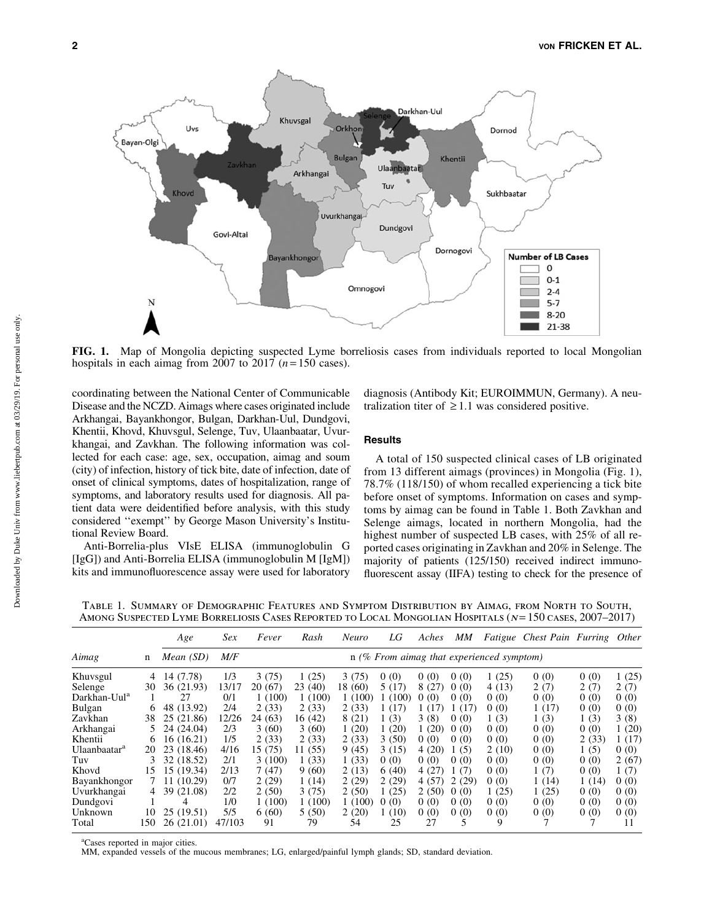

FIG. 1. Map of Mongolia depicting suspected Lyme borreliosis cases from individuals reported to local Mongolian hospitals in each aimag from  $2007$  to  $2017$  ( $n = 150$  cases).

coordinating between the National Center of Communicable Disease and the NCZD. Aimags where cases originated include Arkhangai, Bayankhongor, Bulgan, Darkhan-Uul, Dundgovi, Khentii, Khovd, Khuvsgul, Selenge, Tuv, Ulaanbaatar, Uvurkhangai, and Zavkhan. The following information was collected for each case: age, sex, occupation, aimag and soum (city) of infection, history of tick bite, date of infection, date of onset of clinical symptoms, dates of hospitalization, range of symptoms, and laboratory results used for diagnosis. All patient data were deidentified before analysis, with this study considered ''exempt'' by George Mason University's Institutional Review Board.

Anti-Borrelia-plus VIsE ELISA (immunoglobulin G [IgG]) and Anti-Borrelia ELISA (immunoglobulin M [IgM]) kits and immunofluorescence assay were used for laboratory

diagnosis (Antibody Kit; EUROIMMUN, Germany). A neutralization titer of  $\geq 1.1$  was considered positive.

# **Results**

A total of 150 suspected clinical cases of LB originated from 13 different aimags (provinces) in Mongolia (Fig. 1), 78.7% (118/150) of whom recalled experiencing a tick bite before onset of symptoms. Information on cases and symptoms by aimag can be found in Table 1. Both Zavkhan and Selenge aimags, located in northern Mongolia, had the highest number of suspected LB cases, with 25% of all reported cases originating in Zavkhan and 20% in Selenge. The majority of patients (125/150) received indirect immunofluorescent assay (IIFA) testing to check for the presence of

Table 1. Summary of Demographic Features and Symptom Distribution by Aimag, from North to South, AMONG SUSPECTED LYME BORRELIOSIS CASES REPORTED TO LOCAL MONGOLIAN HOSPITALS (N= 150 CASES, 2007-2017)

| Aimag                    | n   | Age         | <i>Sex</i> | Fever                                       | Rash    | Neuro   | LG     | Aches | MМ    |       | Fatigue Chest Pain Furring Other |       |        |
|--------------------------|-----|-------------|------------|---------------------------------------------|---------|---------|--------|-------|-------|-------|----------------------------------|-------|--------|
|                          |     | Mean $(SD)$ | M/F        | $n$ (% From aimag that experienced symptom) |         |         |        |       |       |       |                                  |       |        |
| Khuvsgul                 | 4   | 14 (7.78)   | 1/3        | 3(75)                                       | 1(25)   | 3(75)   | 0(0)   | 0(0)  | 0(0)  | 1(25) | 0(0)                             | 0(0)  | 1(25)  |
| Selenge                  | 30  | 36 (21.93)  | 13/17      | 20 (67)                                     | 23(40)  | 18 (60) | 5 (17) | 8 (27 | 0(0)  | 4(13) | 2(7)                             | 2(7)  | 2(7)   |
| Darkhan-Uul <sup>a</sup> |     | 27          | 0/1        | 1(100)                                      | 1(100)  | 1(100)  | (100)  | 0(0)  | 0(0)  | 0(0)  | 0(0)                             | 0(0)  | 0(0)   |
| Bulgan                   | 6   | 48 (13.92)  | 2/4        | 2(33)                                       | 2(33)   | 2(33)   | 1(17)  | 1 (17 | 1(17) | 0(0)  | 1(17)                            | 0(0)  | 0(0)   |
| Zavkhan                  | 38  | 25 (21.86)  | 12/26      | 24 (63)                                     | 16 (42) | 8(21)   | 1(3)   | 3(8)  | 0(0)  | 1(3)  | 1(3)                             | 1(3)  | 3(8)   |
| Arkhangai                | 5   | 24 (24.04)  | 2/3        | 3(60)                                       | 3(60)   | 1(20)   | 1(20)  | 1(20) | 0(0)  | 0(0)  | 0(0)                             | 0(0)  | 1(20)  |
| Khentii                  | 6   | 16(16.21)   | 1/5        | 2(33)                                       | 2(33)   | 2(33)   | 3(50)  | 0(0)  | 0(0)  | 0(0)  | 0(0)                             | 2(33) | 1 (17) |
| Ulaanbaatar <sup>a</sup> | 20  | 23 (18.46)  | 4/16       | 15 (75)                                     | 11 (55) | 9(45)   | 3(15)  | 4(20) | 1(5)  | 2(10) | 0(0)                             | 1(5)  | 0(0)   |
| Tuv                      | 3   | 32 (18.52)  | 2/1        | 3(100)                                      | 1(33)   | 1(33)   | 0(0)   | 0(0)  | 0(0)  | 0(0)  | 0(0)                             | 0(0)  | 2(67)  |
| Khovd                    | 15  | 15 (19.34)  | 2/13       | 7(47)                                       | 9(60)   | 2(13)   | 6(40)  | 4(27) | 1(7)  | 0(0)  | 1(7)                             | 0(0)  | 1(7)   |
| Bayankhongor             |     | 11 (10.29)  | 0/7        | 2(29)                                       | 1(14)   | 2(29)   | 2(29)  | 4(57) | 2(29) | 0(0)  | 1(14)                            | 1(14) | 0(0)   |
| Uvurkhangai              | 4   | 39 (21.08)  | 2/2        | 2(50)                                       | 3(75)   | 2(50)   | 1(25)  | 2(50) | 0(0)  | 1(25) | 1(25)                            | 0(0)  | 0(0)   |
| Dundgovi                 |     | 4           | 1/0        | 1(100)                                      | 1(100)  | 1(100)  | 0(0)   | 0(0)  | 0(0)  | 0(0)  | 0(0)                             | 0(0)  | 0(0)   |
| Unknown                  | 10  | 25(19.51)   | 5/5        | 6(60)                                       | 5(50)   | 2(20)   | 1(10)  | 0(0)  | 0(0)  | 0(0)  | 0(0)                             | 0(0)  | 0(0)   |
| Total                    | 150 | 26(21.01)   | 47/103     | 91                                          | 79      | 54      | 25     | 27    |       | 9     |                                  |       | 11     |

a Cases reported in major cities.

MM, expanded vessels of the mucous membranes; LG, enlarged/painful lymph glands; SD, standard deviation.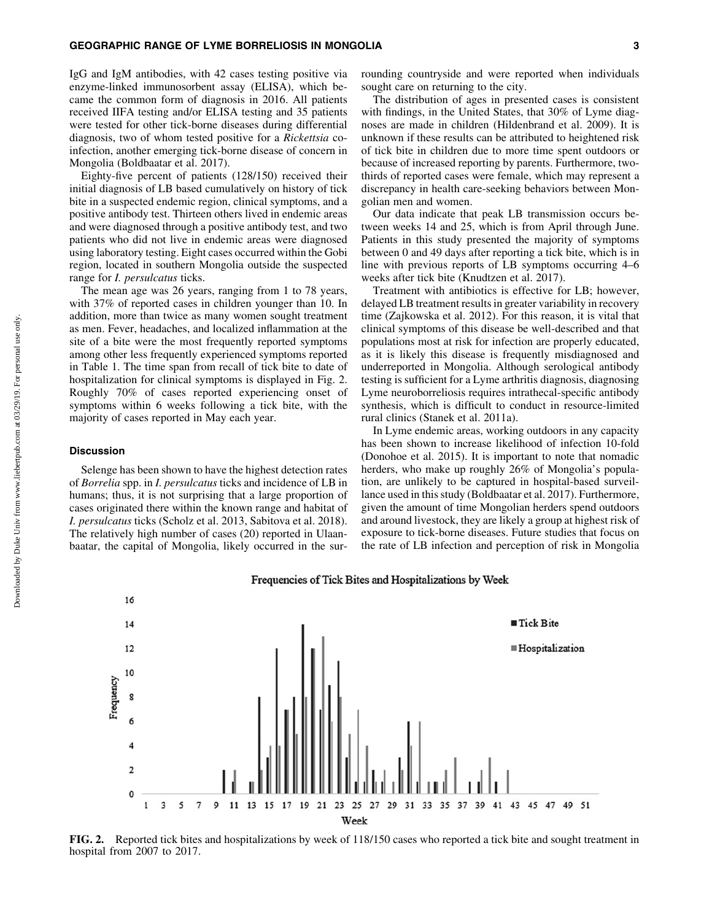IgG and IgM antibodies, with 42 cases testing positive via enzyme-linked immunosorbent assay (ELISA), which became the common form of diagnosis in 2016. All patients received IIFA testing and/or ELISA testing and 35 patients were tested for other tick-borne diseases during differential diagnosis, two of whom tested positive for a *Rickettsia* coinfection, another emerging tick-borne disease of concern in Mongolia (Boldbaatar et al. 2017).

Eighty-five percent of patients (128/150) received their initial diagnosis of LB based cumulatively on history of tick bite in a suspected endemic region, clinical symptoms, and a positive antibody test. Thirteen others lived in endemic areas and were diagnosed through a positive antibody test, and two patients who did not live in endemic areas were diagnosed using laboratory testing. Eight cases occurred within the Gobi region, located in southern Mongolia outside the suspected range for *I. persulcatus* ticks.

The mean age was 26 years, ranging from 1 to 78 years, with 37% of reported cases in children younger than 10. In addition, more than twice as many women sought treatment as men. Fever, headaches, and localized inflammation at the site of a bite were the most frequently reported symptoms among other less frequently experienced symptoms reported in Table 1. The time span from recall of tick bite to date of hospitalization for clinical symptoms is displayed in Fig. 2. Roughly 70% of cases reported experiencing onset of symptoms within 6 weeks following a tick bite, with the majority of cases reported in May each year.

#### **Discussion**

Selenge has been shown to have the highest detection rates of *Borrelia* spp. in *I. persulcatus* ticks and incidence of LB in humans; thus, it is not surprising that a large proportion of cases originated there within the known range and habitat of *I. persulcatus* ticks (Scholz et al. 2013, Sabitova et al. 2018). The relatively high number of cases (20) reported in Ulaanbaatar, the capital of Mongolia, likely occurred in the surrounding countryside and were reported when individuals sought care on returning to the city.

The distribution of ages in presented cases is consistent with findings, in the United States, that 30% of Lyme diagnoses are made in children (Hildenbrand et al. 2009). It is unknown if these results can be attributed to heightened risk of tick bite in children due to more time spent outdoors or because of increased reporting by parents. Furthermore, twothirds of reported cases were female, which may represent a discrepancy in health care-seeking behaviors between Mongolian men and women.

Our data indicate that peak LB transmission occurs between weeks 14 and 25, which is from April through June. Patients in this study presented the majority of symptoms between 0 and 49 days after reporting a tick bite, which is in line with previous reports of LB symptoms occurring 4–6 weeks after tick bite (Knudtzen et al. 2017).

Treatment with antibiotics is effective for LB; however, delayed LB treatment results in greater variability in recovery time (Zajkowska et al. 2012). For this reason, it is vital that clinical symptoms of this disease be well-described and that populations most at risk for infection are properly educated, as it is likely this disease is frequently misdiagnosed and underreported in Mongolia. Although serological antibody testing is sufficient for a Lyme arthritis diagnosis, diagnosing Lyme neuroborreliosis requires intrathecal-specific antibody synthesis, which is difficult to conduct in resource-limited rural clinics (Stanek et al. 2011a).

In Lyme endemic areas, working outdoors in any capacity has been shown to increase likelihood of infection 10-fold (Donohoe et al. 2015). It is important to note that nomadic herders, who make up roughly 26% of Mongolia's population, are unlikely to be captured in hospital-based surveillance used in this study (Boldbaatar et al. 2017). Furthermore, given the amount of time Mongolian herders spend outdoors and around livestock, they are likely a group at highest risk of exposure to tick-borne diseases. Future studies that focus on the rate of LB infection and perception of risk in Mongolia



Frequencies of Tick Bites and Hospitalizations by Week

FIG. 2. Reported tick bites and hospitalizations by week of 118/150 cases who reported a tick bite and sought treatment in hospital from 2007 to 2017.